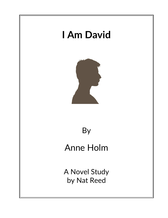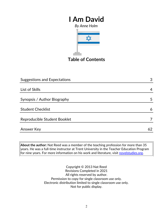# **I Am David** *By Anne Holm*



**Table of Contents**

| Suggestions and Expectations | 3  |
|------------------------------|----|
|                              |    |
| List of Skills               | 4  |
|                              |    |
| Synopsis / Author Biography  | 5  |
|                              |    |
| <b>Student Checklist</b>     | 6  |
|                              |    |
| Reproducible Student Booklet |    |
|                              |    |
| Answer Key                   | 62 |

**About the author:** Nat Reed was a member of the teaching profession for more than 35 years. He was a full-time instructor at Trent University in the Teacher Education Program for nine years. For more information on his work and literature, visit [novelstudies.org.](http://www.novelstudies.org/)

> Copyright © 2013 Nat Reed Revisions Completed in 2021 All rights reserved by author. Permission to copy for single classroom use only. Electronic distribution limited to single classroom use only. Not for public display.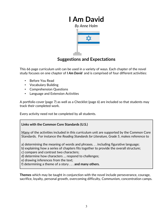

### **Suggestions and Expectations**

This 66 page curriculum unit can be used in a variety of ways. Each chapter of the novel study focuses on one chapter of *I Am David* and is comprised of four different activities:

- Before You Read
- Vocabulary Building
- Comprehension Questions
- Language and Extension Activities

A portfolio cover (page 7) as well as a Checklist (page 6) are included so that students may track their completed work.

Every activity need not be completed by all students.

### **Links with the Common Core Standards (U.S.)**

Many of the activities included in this curriculum unit are supported by the Common Core Standards. For instance the *Reading Standards for Literature, Grade 5*, makes reference to

a) determining the meaning of words and phrases. . . including figurative language;

b) explaining how a series of chapters fits together to provide the overall structure;

c) compare and contrast two characters;

d) determine how characters … respond to challenges;

e) drawing inferences from the text;

f) determining a theme of a story . . . **and many others.**

**Themes** which may be taught in conjunction with the novel include perseverance, courage, sacrifice, loyalty, personal growth, overcoming difficulty, Communism, concentration camps.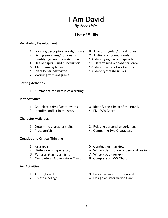# **I Am David**

*By Anne Holm*

## **List of Skills**

### **Vocabulary Development**

- 1. Locating descriptive words/phrases 8. Use of singular / plural nouns
- 2. Listing synonyms/homonyms 9. Listing compound words
- 3. Identifying/creating *alliteration* 10. Identifying parts of speech
- 4. Use of capitals and punctuation 11. Determining alphabetical order
- 
- 6. Identify *personification*. 13. Identify/create *similes*
- 7. Working with anagrams.

#### **Setting Activities**

1. Summarize the details of a setting

#### **Plot Activities**

- 
- 2. Identify conflict in the story 4. Five W's Chart

#### **Character Activities**

- 
- 

### **Creative and Critical Thinking**

- 
- 
- 3. Write a letter to a friend 7. Write a book review
- 4. Complete an Observation Chart 8. Complete a KWS Chart

### **Art Activities**

- 
- 
- 
- 
- 
- 
- 5. Identifying syllables 12. Identification of root words
	-

- 1. Complete a *time line* of events 3. Identify the climax of the novel.
	-
- 1. Determine character traits 3. Relating personal experiences
- 2. Protagonists 4. Comparing two Characters
- 1. Research 5. Conduct an interview
- 2. Write a newspaper story 6. Write a description of personal feelings
	-
	-
- 1. A Storyboard 3. Design a cover for the novel
- 2. Create a collage 2. Create a collage 4. Design an Information Card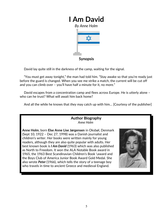

David lay quite still in the darkness of the camp, waiting for the signal.

 "You must get away tonight," the man had told him. "Stay awake so that you're ready just before the guard is changed. When you see me strike a match, the current will be cut off and you can climb over – you'll have half a minute for it, no more."

 David escapes from a concentration camp and flees across Europe. He is utterly alone – who can he trust? What will await him back home?

And all the while he knows that *they* may catch up with him… [Courtesy of the publisher]

### **Author Biography** *Anne Holm*

**Anne Holm**, born **Else Anne Lise Jørgensen** in [Oksbøl,](http://en.wikipedia.org/w/index.php?title=Oksb%C3%B8l&action=edit&redlink=1) Denmark (Sept 10, 1922 – Dec 27, 1998) was a [Danish](http://en.wikipedia.org/wiki/Denmark) [journalist](http://en.wikipedia.org/wiki/Journalist) and [children's writer.](http://en.wikipedia.org/wiki/Children) Her books were written mainly for young readers, although they are also quite popular with adults. Her best known book is *[I Am David](http://en.wikipedia.org/wiki/I_Am_David)* (1963) which was also published as North to Freedom. It won the [ALA Notable Book](http://en.wikipedia.org/wiki/ALA_Notable_Book) award in 1965, the 1963 Best Scandinavian Children's Book \award and the Boys Club of America Junior Book Award Gold Medal. She also wrote *Peter* (1966), which tells the story of a teenage boy who travels in time to ancient Greece and medieval England.

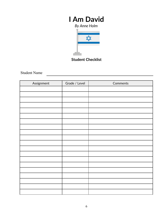# **I Am David**



**Student Checklist**

Student Name

| Assignment | Grade / Level | Comments |
|------------|---------------|----------|
|            |               |          |
|            |               |          |
|            |               |          |
|            |               |          |
|            |               |          |
|            |               |          |
|            |               |          |
|            |               |          |
|            |               |          |
|            |               |          |
|            |               |          |
|            |               |          |
|            |               |          |
|            |               |          |
|            |               |          |
|            |               |          |
|            |               |          |
|            |               |          |
|            |               |          |
|            |               |          |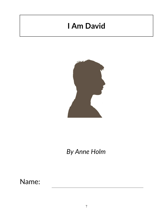# **I Am David**



*By Anne Holm*

Name: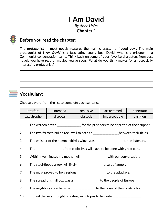## **I Am David** *By Anne Holm*

## **Chapter 1**

### **Before you read the chapter**:

The **protagonist** in most novels features the main character or "good guy". The main protagonist of *I Am David* is a fascinating young boy, David, who is a prisoner in a Communist concentration camp. Think back on some of your favorite characters from past novels you have read or movies you've seen. What do you think makes for an especially interesting protagonist?

## **Vocabulary:**

Choose a word from the list to complete each sentence.

| interfere   | intended | repulsive | accustomed    | penetrate |
|-------------|----------|-----------|---------------|-----------|
| catastrophe | disposal | obstacle  | imperceptible | partition |

- 1. The warden never \_\_\_\_\_\_\_\_\_\_\_\_\_\_\_\_ for the prisoners to be deprived of their supper.
- 2. The two farmers built a rock wall to act as a \_\_\_\_\_\_\_\_\_\_\_\_\_\_\_\_\_between their fields.
- 3. The whisper of the hummingbird's wings was \_\_\_\_\_\_\_\_\_\_\_\_\_\_\_\_\_\_ to the listeners.
- 4. The of the explosives will have to be done with great care.
- 5. Within five minutes my mother will \_\_\_\_\_\_\_\_\_\_\_\_\_\_\_\_ with our conversation.
- 6. The steel-tipped arrow will likely \_\_\_\_\_\_\_\_\_\_\_\_\_\_\_\_\_ a suit of armor.
- 7. The moat proved to be a serious \_\_\_\_\_\_\_\_\_\_\_\_\_\_\_\_\_\_ to the attackers.
- 8. The spread of small pox was a \_\_\_\_\_\_\_\_\_\_\_\_\_\_\_\_ to the people of Europe.
- 9. The neighbors soon became \_\_\_\_\_\_\_\_\_\_\_\_\_\_ to the noise of the construction.
- 10. I found the very thought of eating an octopus to be quite \_\_\_\_\_\_\_\_\_\_\_\_\_\_\_\_.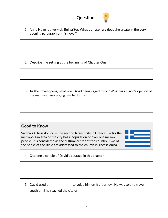

1. Anne Holm is a very skillful writer. What **atmosphere** does she create in the very opening paragraph of this novel?

2. Describe the **setting** at the beginning of Chapter One.

3. As the novel opens, what was David being urged to do? What was David's opinion of the man who was urging him to do this?

**Good to Know**

**Salonica** (Thessalonica) is the second largest city in Greece. Today the metropolitan area of the city has a population of over one million people. It is considered as the cultural center of the country. Two of the books of the Bible are addressed to the church in Thessalonica.

4. Cite one example of David's courage in this chapter.

5. David used a \_\_\_\_\_\_\_\_\_\_\_\_\_\_\_ to guide him on his journey. He was told to travel south until he reached the city of \_\_\_\_\_\_\_\_\_\_\_\_\_\_\_\_.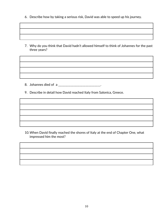6. Describe how by taking a serious risk, David was able to speed up his journey.

7. Why do you think that David hadn't allowed himself to think of Johannes for the past three years?

9. Describe in detail how David reached Italy from Salonica, Greece.

8. Johannes died of a \_\_\_\_\_\_\_\_\_\_\_\_\_\_\_\_\_\_\_\_\_\_\_\_\_\_\_\_.

10.When David finally reached the shores of Italy at the end of Chapter One, what impressed him the most?

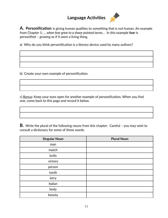## **Language Activities**



**A***.* **Personification** is giving human qualities to something that is not human. An example from Chapter 1: *… when fear grew to a sharp-pointed terror…* In this example **fear** is personified – *growing* as if it were a living thing.

a) Why do you think personification is a literary device used by many authors?

b) Create your own example of personification.

c) Bonus: Keep your eyes open for another example of personification. When you find one, come back to this page and record it below.

**B***.* Write the plural of the following nouns from this chapter. Careful – you may wish to consult a dictionary for some of these words.

| <b>Singular Noun</b> | <b>Plural Noun</b> |
|----------------------|--------------------|
| man                  |                    |
| match                |                    |
| knife                |                    |
| victory              |                    |
| person               |                    |
| tooth                |                    |
| lorry                |                    |
| Italian              |                    |
| body                 |                    |
| beauty               |                    |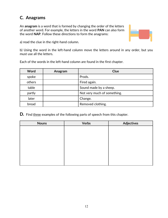## **C***.* **Anagrams**

An **anagram** is a word that is formed by changing the order of the letters of another word. For example, the letters in the word **PAN** can also form the word **NAP**. Follow these directions to form the anagrams:



a) read the clue in the right-hand column.

b) Using the word in the left-hand column move the letters around in any order, but you must use all the letters.

Each of the words in the left-hand column are found in the first chapter.

| Word   | Anagram | Clue                        |
|--------|---------|-----------------------------|
| spoke  |         | Prods.                      |
| others |         | Fired again.                |
| table  |         | Sound made by a sheep.      |
| partly |         | Not very much of something. |
| later  |         | Change.                     |
| bread  |         | Removed clothing.           |

**D***.*Find three examples of the following parts of speech from this chapter.

| <b>Nouns</b> | <b>Verbs</b> | <b>Adjectives</b> |
|--------------|--------------|-------------------|
|              |              |                   |
|              |              |                   |
|              |              |                   |
|              |              |                   |
|              |              |                   |
|              |              |                   |
|              |              |                   |
|              |              |                   |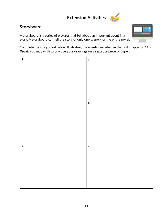# **Extension Activities**



### **Storyboard**

A storyboard is a series of pictures that tell about an important event in a story. A storyboard can tell the story of only one scene – or the entire novel.

Complete the storyboard below illustrating the events described in the first chapter of *I Am David*. You may wish to practice your drawings on a separate piece of paper.